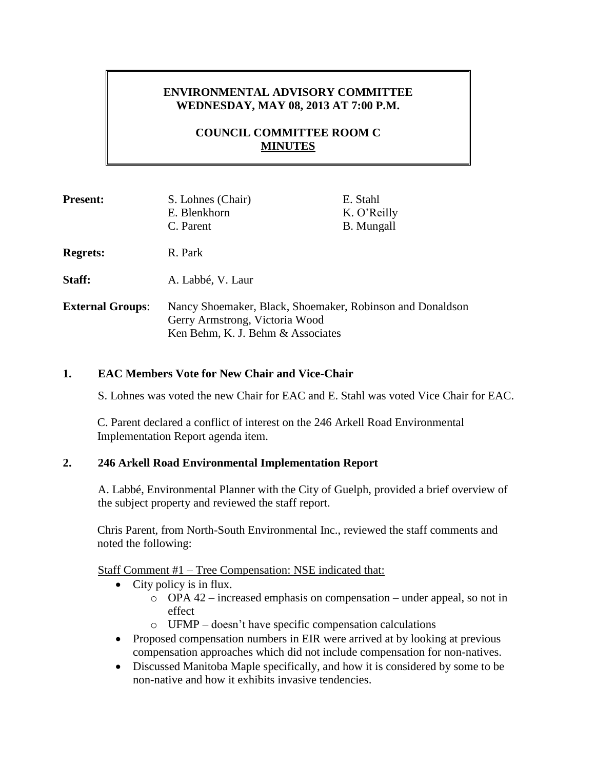# **ENVIRONMENTAL ADVISORY COMMITTEE WEDNESDAY, MAY 08, 2013 AT 7:00 P.M.**

# **COUNCIL COMMITTEE ROOM C MINUTES**

| <b>Present:</b>         | S. Lohnes (Chair)                                         | E. Stahl          |
|-------------------------|-----------------------------------------------------------|-------------------|
|                         | E. Blenkhorn                                              | K. O'Reilly       |
|                         | C. Parent                                                 | <b>B.</b> Mungall |
| <b>Regrets:</b>         | R. Park                                                   |                   |
| Staff:                  | A. Labbé, V. Laur                                         |                   |
| <b>External Groups:</b> | Nancy Shoemaker, Black, Shoemaker, Robinson and Donaldson |                   |
|                         | Gerry Armstrong, Victoria Wood                            |                   |
|                         | Ken Behm, K. J. Behm & Associates                         |                   |

## **1. EAC Members Vote for New Chair and Vice-Chair**

S. Lohnes was voted the new Chair for EAC and E. Stahl was voted Vice Chair for EAC.

C. Parent declared a conflict of interest on the 246 Arkell Road Environmental Implementation Report agenda item.

## **2. 246 Arkell Road Environmental Implementation Report**

A. Labbé, Environmental Planner with the City of Guelph, provided a brief overview of the subject property and reviewed the staff report.

Chris Parent, from North-South Environmental Inc., reviewed the staff comments and noted the following:

Staff Comment #1 – Tree Compensation: NSE indicated that:

- City policy is in flux.
	- o OPA 42 increased emphasis on compensation under appeal, so not in effect
	- o UFMP doesn't have specific compensation calculations
- Proposed compensation numbers in EIR were arrived at by looking at previous compensation approaches which did not include compensation for non-natives.
- Discussed Manitoba Maple specifically, and how it is considered by some to be non-native and how it exhibits invasive tendencies.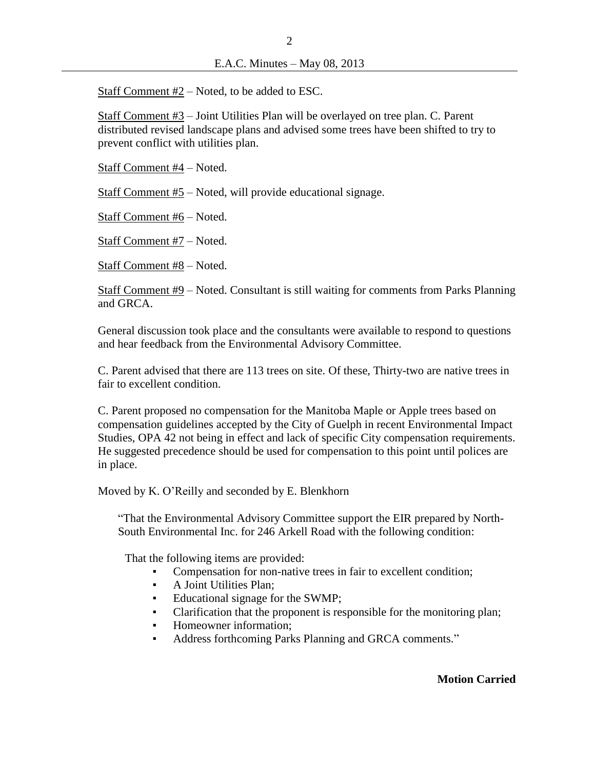$\mathcal{L}$ 

Staff Comment #2 – Noted, to be added to ESC.

Staff Comment #3 – Joint Utilities Plan will be overlayed on tree plan. C. Parent distributed revised landscape plans and advised some trees have been shifted to try to prevent conflict with utilities plan.

Staff Comment #4 – Noted.

Staff Comment #5 – Noted, will provide educational signage.

Staff Comment #6 – Noted.

Staff Comment #7 – Noted.

Staff Comment #8 – Noted.

Staff Comment #9 – Noted. Consultant is still waiting for comments from Parks Planning and GRCA.

General discussion took place and the consultants were available to respond to questions and hear feedback from the Environmental Advisory Committee.

C. Parent advised that there are 113 trees on site. Of these, Thirty-two are native trees in fair to excellent condition.

C. Parent proposed no compensation for the Manitoba Maple or Apple trees based on compensation guidelines accepted by the City of Guelph in recent Environmental Impact Studies, OPA 42 not being in effect and lack of specific City compensation requirements. He suggested precedence should be used for compensation to this point until polices are in place.

Moved by K. O'Reilly and seconded by E. Blenkhorn

"That the Environmental Advisory Committee support the EIR prepared by North-South Environmental Inc. for 246 Arkell Road with the following condition:

That the following items are provided:

- Compensation for non-native trees in fair to excellent condition;
- A Joint Utilities Plan;
- Educational signage for the SWMP;
- Clarification that the proponent is responsible for the monitoring plan;
- Homeowner information;
- Address forthcoming Parks Planning and GRCA comments."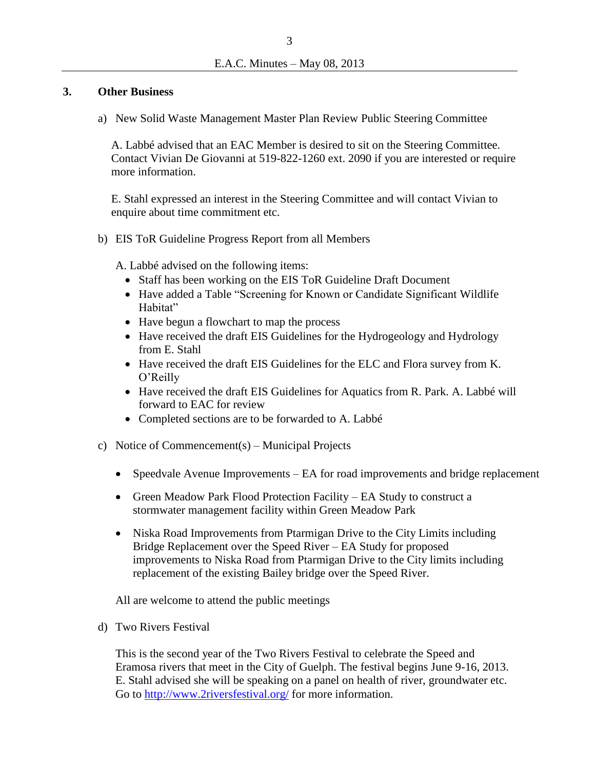### **3. Other Business**

a) New Solid Waste Management Master Plan Review Public Steering Committee

A. Labbé advised that an EAC Member is desired to sit on the Steering Committee. Contact Vivian De Giovanni at 519-822-1260 ext. 2090 if you are interested or require more information.

E. Stahl expressed an interest in the Steering Committee and will contact Vivian to enquire about time commitment etc.

b) EIS ToR Guideline Progress Report from all Members

A. Labbé advised on the following items:

- Staff has been working on the EIS ToR Guideline Draft Document
- Have added a Table "Screening for Known or Candidate Significant Wildlife Habitat"
- Have begun a flowchart to map the process
- Have received the draft EIS Guidelines for the Hydrogeology and Hydrology from E. Stahl
- Have received the draft EIS Guidelines for the ELC and Flora survey from K. O'Reilly
- Have received the draft EIS Guidelines for Aquatics from R. Park. A. Labbé will forward to EAC for review
- Completed sections are to be forwarded to A. Labbé
- c) Notice of Commencement(s) Municipal Projects
	- Speedvale Avenue Improvements EA for road improvements and bridge replacement
	- Green Meadow Park Flood Protection Facility EA Study to construct a stormwater management facility within Green Meadow Park
	- Niska Road Improvements from Ptarmigan Drive to the City Limits including Bridge Replacement over the Speed River – EA Study for proposed improvements to Niska Road from Ptarmigan Drive to the City limits including replacement of the existing Bailey bridge over the Speed River.

All are welcome to attend the public meetings

d) Two Rivers Festival

This is the second year of the Two Rivers Festival to celebrate the Speed and Eramosa rivers that meet in the City of Guelph. The festival begins June 9-16, 2013. E. Stahl advised she will be speaking on a panel on health of river, groundwater etc. Go to<http://www.2riversfestival.org/> for more information.